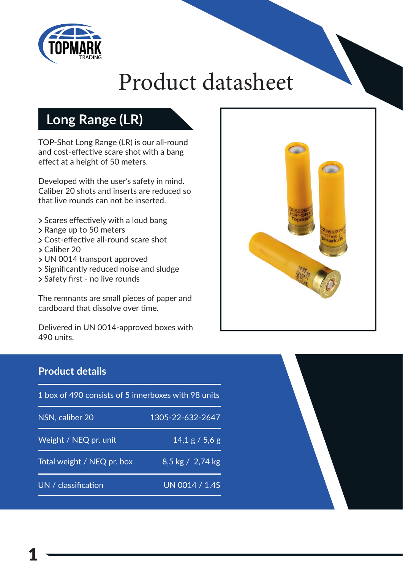

# Product datasheet

## **Long Range (LR)**

TOP-Shot Long Range (LR) is our all-round and cost-effective scare shot with a bang effect at a height of 50 meters.

Developed with the user's safety in mind. Caliber 20 shots and inserts are reduced so that live rounds can not be inserted.

- > Scares effectively with a loud bang
- > Range up to 50 meters
- > Cost-effective all-round scare shot
- Caliber 20
- UN 0014 transport approved
- > Significantly reduced noise and sludge
- > Safety first no live rounds

The remnants are small pieces of paper and cardboard that dissolve over time.

Delivered in UN 0014-approved boxes with 490 units.



### **Product details**

| 1 box of 490 consists of 5 innerboxes with 98 units |                          |
|-----------------------------------------------------|--------------------------|
| NSN, caliber 20                                     | 1305-22-632-2647         |
| Weight / NEQ pr. unit                               | $14,1 \text{ g}$ / 5,6 g |
| Total weight / NEQ pr. box                          | 8,5 kg / 2,74 kg         |
| UN / classification                                 | UN 0014 / 1.4S           |